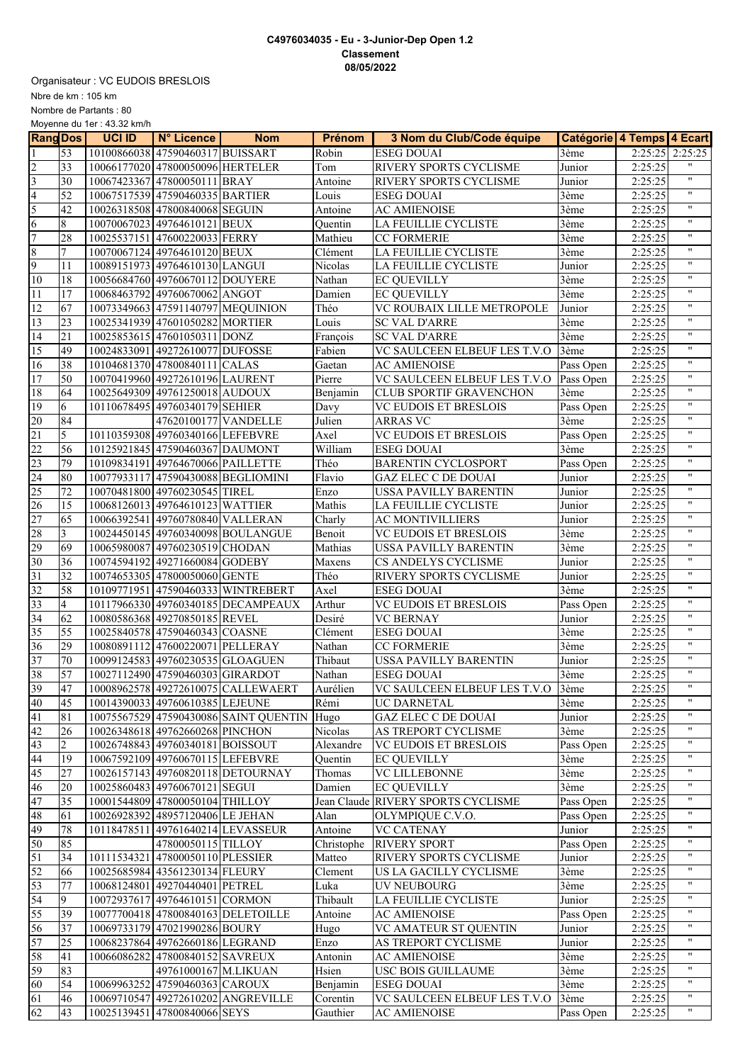## **C4976034035 - Eu - 3-Junior-Dep Open 1.2 Classement 08/05/2022**

Nbre de km : 105 km Organisateur : VC EUDOIS BRESLOIS Nombre de Partants : 80

Moyenne du 1er : 43.32 km/h

| <b>Rang Dos</b> |                 | <b>UCI ID</b> | N° Licence                        | <b>Nom</b>                            | <b>Prénom</b>              | 3 Nom du Club/Code équipe     | Catégorie 4 Temps 4 Ecart |         |                           |
|-----------------|-----------------|---------------|-----------------------------------|---------------------------------------|----------------------------|-------------------------------|---------------------------|---------|---------------------------|
|                 | 53              |               | 10100866038 47590460317 BUISSART  |                                       | Robin                      | <b>ESEG DOUAI</b>             | 3ème                      | 2:25:25 | 2:25:25                   |
| $\overline{2}$  | 33              |               | 10066177020 47800050096 HERTELER  |                                       | Tom                        | RIVERY SPORTS CYCLISME        | Junior                    | 2:25:25 | 11                        |
| 3               | 30              |               | 10067423367 47800050111 BRAY      |                                       | Antoine                    | RIVERY SPORTS CYCLISME        | Junior                    | 2:25:25 | $\pmb{\mathsf{H}}$        |
| $\overline{4}$  | 52              |               | 10067517539 47590460335 BARTIER   |                                       | Louis                      | <b>ESEG DOUAI</b>             | 3ème                      | 2:25:25 | $\pmb{\mathsf{H}}$        |
| 5               | $\overline{42}$ |               | 10026318508 47800840068 SEGUIN    |                                       | Antoine                    | <b>AC AMIENOISE</b>           | 3ème                      | 2:25:25 | $\pmb{\mathsf{H}}$        |
| $\sqrt{6}$      | 8               |               | 10070067023 49764610121 BEUX      |                                       | Quentin                    | LA FEUILLIE CYCLISTE          | 3ème                      | 2:25:25 | $\pmb{\mathsf{H}}$        |
| $\overline{7}$  | 28              |               | 10025537151 47600220033 FERRY     |                                       | Mathieu                    | <b>CC FORMERIE</b>            | 3ème                      | 2:25:25 | $\boldsymbol{\mathsf{H}}$ |
| 8               | 7               |               | 10070067124 49764610120 BEUX      |                                       | Clément                    | LA FEUILLIE CYCLISTE          | 3ème                      | 2:25:25 | $\pmb{\mathsf{H}}$        |
| 9               | 11              |               | 10089151973 49764610130 LANGUI    |                                       | Nicolas                    | LA FEUILLIE CYCLISTE          | Junior                    | 2:25:25 | $\overline{\mathbf{u}}$   |
| 10              | 18              |               | 10056684760 49760670112 DOUYERE   |                                       | Nathan                     | <b>EC QUEVILLY</b>            | 3ème                      | 2:25:25 | $\pmb{\mathsf{H}}$        |
| 11              | 17              |               | 10068463792 49760670062 ANGOT     |                                       | Damien                     | <b>EC OUEVILLY</b>            | 3ème                      | 2:25:25 | $\pmb{\mathsf{H}}$        |
| 12              | 67              |               |                                   | 10073349663 47591140797 MEQUINION     | Théo                       | VC ROUBAIX LILLE METROPOLE    | Junior                    | 2:25:25 | $\pmb{\mathsf{H}}$        |
| 13              | $\overline{23}$ |               | 10025341939 47601050282 MORTIER   |                                       | Louis                      | <b>SC VAL D'ARRE</b>          | 3ème                      | 2:25:25 | $\pmb{\mathsf{H}}$        |
| $\overline{14}$ | 21              |               | 10025853615 47601050311 DONZ      |                                       | François                   | <b>SC VAL D'ARRE</b>          | 3ème                      | 2:25:25 | $\pmb{\mathsf{H}}$        |
| $\overline{15}$ | 49              |               | 10024833091 49272610077 DUFOSSE   |                                       | Fabien                     | VC SAULCEEN ELBEUF LES T.V.O  | 3ème                      | 2:25:25 | $\pmb{\mathsf{H}}$        |
| 16              | 38              |               | 10104681370 47800840111 CALAS     |                                       | Gaetan                     | <b>AC AMIENOISE</b>           | Pass Open                 | 2:25:25 | $\pmb{\mathsf{H}}$        |
| 17              | 50              |               | 10070419960 49272610196 LAURENT   |                                       | Pierre                     | VC SAULCEEN ELBEUF LES T.V.O  | Pass Open                 | 2:25:25 | $\pmb{\mathsf{H}}$        |
| $\overline{18}$ | 64              |               | 10025649309 49761250018 AUDOUX    |                                       | Benjamin                   | CLUB SPORTIF GRAVENCHON       | 3ème                      | 2:25:25 | $\pmb{\mathsf{H}}$        |
| 19              | 6               |               | 10110678495 49760340179 SEHIER    |                                       | Davy                       | <b>VC EUDOIS ET BRESLOIS</b>  | Pass Open                 | 2:25:25 | $\pmb{\mathsf{H}}$        |
| 20              | 84              |               | 47620100177 VANDELLE              |                                       | Julien                     | <b>ARRAS VC</b>               | 3ème                      | 2:25:25 | $\pmb{\mathsf{H}}$        |
| $\overline{21}$ | 5               |               | 10110359308 49760340166 LEFEBVRE  |                                       | Axel                       | <b>VC EUDOIS ET BRESLOIS</b>  | Pass Open                 | 2:25:25 | $\pmb{\mathsf{H}}$        |
| 22              | 56              |               | 10125921845 47590460367 DAUMONT   |                                       | William                    | <b>ESEG DOUAI</b>             | 3ème                      | 2:25:25 | $\pmb{\mathsf{H}}$        |
| 23              | 79              |               | 10109834191 49764670066 PAILLETTE |                                       | Théo                       | <b>BARENTIN CYCLOSPORT</b>    | Pass Open                 | 2:25:25 | $\pmb{\mathsf{H}}$        |
| $\overline{24}$ | 80              |               |                                   | 10077933117 47590430088 BEGLIOMINI    | Flavio                     | <b>GAZ ELEC C DE DOUAI</b>    | Junior                    | 2:25:25 | $\pmb{\mathsf{H}}$        |
| $\overline{25}$ | 72              |               | 10070481800 49760230545 TIREL     |                                       | Enzo                       | USSA PAVILLY BARENTIN         | Junior                    | 2:25:25 | $\pmb{\mathsf{H}}$        |
| $\overline{26}$ | 15              |               | 10068126013 49764610123 WATTIER   |                                       | Mathis                     | LA FEUILLIE CYCLISTE          | Junior                    | 2:25:25 | $\pmb{\mathsf{H}}$        |
| $\overline{27}$ | 65              |               | 10066392541 49760780840 VALLERAN  |                                       | $\overline{\text{Charly}}$ | AC MONTIVILLIERS              | Junior                    | 2:25:25 | $\pmb{\mathsf{H}}$        |
| 28              | $\overline{3}$  |               |                                   | 10024450145 49760340098 BOULANGUE     | Benoit                     | <b>VC EUDOIS ET BRESLOIS</b>  | 3ème                      | 2:25:25 | $\pmb{\mathsf{H}}$        |
| 29              | 69              |               | 10065980087 49760230519 CHODAN    |                                       | Mathias                    | USSA PAVILLY BARENTIN         | $\overline{3}$ ème        | 2:25:25 | $\pmb{\mathsf{H}}$        |
| 30              | 36              |               | 10074594192 49271660084 GODEBY    |                                       | Maxens                     | CS ANDELYS CYCLISME           | Junior                    | 2:25:25 | $\pmb{\mathsf{H}}$        |
| $\overline{31}$ | $\overline{32}$ |               | 10074653305 47800050060 GENTE     |                                       | Théo                       | RIVERY SPORTS CYCLISME        | Junior                    | 2:25:25 | $\pmb{\mathsf{H}}$        |
| 32              | 58              |               |                                   | 10109771951 47590460333 WINTREBERT    | Axel                       | <b>ESEG DOUAI</b>             | 3ème                      | 2:25:25 | $\pmb{\mathsf{H}}$        |
| 33              | $\overline{4}$  |               |                                   | 10117966330 49760340185 DECAMPEAUX    | Arthur                     | VC EUDOIS ET BRESLOIS         | Pass Open                 | 2:25:25 | $\pmb{\mathsf{H}}$        |
| $\overline{34}$ | 62              |               | 10080586368 49270850185 REVEL     |                                       | Desiré                     | <b>VC BERNAY</b>              | Junior                    | 2:25:25 | $\pmb{\mathsf{H}}$        |
| 35              | 55              |               | 10025840578 47590460343 COASNE    |                                       | Clément                    | <b>ESEG DOUAI</b>             | 3ème                      | 2:25:25 | $\pmb{\mathsf{H}}$        |
| 36              | 29              |               | 10080891112 47600220071 PELLERAY  |                                       | Nathan                     | <b>CC FORMERIE</b>            | 3ème                      | 2:25:25 | $\mathbf{H}$              |
| $\overline{37}$ | 70              |               | 10099124583 49760230535 GLOAGUEN  |                                       | Thibaut                    | <b>USSA PAVILLY BARENTIN</b>  | Junior                    | 2:25:25 | $\pmb{\mathsf{H}}$        |
| 38              | 57              |               | 10027112490 47590460303 GIRARDOT  |                                       | Nathan                     | <b>ESEG DOUAI</b>             | 3ème                      | 2:25:25 | $\pmb{\mathsf{H}}$        |
| 39              | 47              |               |                                   | 10008962578 49272610075 CALLEWAERT    | Aurélien                   | VC SAULCEEN ELBEUF LES T.V.O  | 3ème                      | 2:25:25 | $\pmb{\mathsf{H}}$        |
| 40              | 45              |               | 10014390033 49760610385 LEJEUNE   |                                       | Rémi                       | UC DARNETAL                   | 3ème                      | 2:25:25 |                           |
| 41              | 81              |               |                                   | 10075567529 47590430086 SAINT QUENTIN | Hugo                       | <b>GAZ ELEC C DE DOUAI</b>    | Junior                    | 2:25:25 | $\pmb{\mathsf{H}}$        |
| 42              | 26              |               | 10026348618 49762660268 PINCHON   |                                       | Nicolas                    | AS TREPORT CYCLISME           | 3ème                      | 2:25:25 | 11                        |
| 43              | $\overline{2}$  |               | 10026748843 49760340181 BOISSOUT  |                                       | Alexandre                  | VC EUDOIS ET BRESLOIS         | Pass Open                 | 2:25:25 | π.                        |
| 44              | 19              |               | 10067592109 49760670115 LEFEBVRE  |                                       | $\overline{Q}$ uentin      | <b>EC QUEVILLY</b>            | 3ème                      | 2:25:25 | $\mathbf{H}$              |
| 45              | 27              |               |                                   | 10026157143 49760820118 DETOURNAY     | Thomas                     | VC LILLEBONNE                 | 3ème                      | 2:25:25 | π.                        |
| 46              | 20              |               | 10025860483 49760670121 SEGUI     |                                       | Damien                     | <b>EC QUEVILLY</b>            | 3ème                      | 2:25:25 | 11                        |
| 47              | 35              |               | 10001544809 47800050104 THILLOY   |                                       | Jean Claude                | <b>RIVERY SPORTS CYCLISME</b> | Pass Open                 | 2:25:25 | $^{\prime\prime}$         |
| 48              | 61              |               | 10026928392 48957120406 LE JEHAN  |                                       | Alan                       | OLYMPIQUE C.V.O.              | Pass Open                 | 2:25:25 | 11                        |
| 49              | 78              |               |                                   | 10118478511 49761640214 LEVASSEUR     | Antoine                    | <b>VC CATENAY</b>             | Junior                    | 2:25:25 | 11                        |
| $\overline{50}$ | 85              |               | 47800050115 TILLOY                |                                       | Christophe                 | RIVERY SPORT                  | Pass Open                 | 2:25:25 | π.                        |
| 51              | 34              | 10111534321   | 47800050110 PLESSIER              |                                       | Matteo                     | RIVERY SPORTS CYCLISME        | Junior                    | 2:25:25 | $^{\prime\prime}$         |
| 52              | 66              |               | 10025685984 43561230134 FLEURY    |                                       | Clement                    | US LA GACILLY CYCLISME        | 3ème                      | 2:25:25 | $\mathbf{H}$              |
| 53              | 77              |               | 10068124801 49270440401 PETREL    |                                       | Luka                       | UV NEUBOURG                   | 3ème                      | 2:25:25 | 11                        |
| 54              | 9               |               | 10072937617 49764610151 CORMON    |                                       | Thibault                   | LA FEUILLIE CYCLISTE          | Junior                    | 2:25:25 | 11                        |
| $\overline{55}$ | 39              |               |                                   | 10077700418 47800840163 DELETOILLE    | Antoine                    | <b>AC AMIENOISE</b>           | Pass Open                 | 2:25:25 | 11                        |
| 56              | 37              |               | 10069733179 47021990286 BOURY     |                                       | Hugo                       | VC AMATEUR ST QUENTIN         | Junior                    | 2:25:25 | 11                        |
| $\overline{57}$ | 25              |               | 10068237864 49762660186 LEGRAND   |                                       | Enzo                       | AS TREPORT CYCLISME           | Junior                    | 2:25:25 | 11                        |
| 58              | 41              |               | 10066086282 47800840152 SAVREUX   |                                       | Antonin                    | <b>AC AMIENOISE</b>           | 3ème                      | 2:25:25 | π.                        |
| 59              | 83              |               | 49761000167 M.LIKUAN              |                                       | Hsien                      | USC BOIS GUILLAUME            | 3ème                      | 2:25:25 | $\mathbf{H}$              |
| 60              | 54              |               | 10069963252 47590460363 CAROUX    |                                       | Benjamin                   | <b>ESEG DOUAI</b>             | 3ème                      | 2:25:25 | $\pmb{\mathsf{H}}$        |
| 61              | 46              |               |                                   | 10069710547 49272610202 ANGREVILLE    | Corentin                   | VC SAULCEEN ELBEUF LES T.V.O  | 3ème                      | 2:25:25 | π.                        |
| 62              | 43              |               | 10025139451 47800840066 SEYS      |                                       | Gauthier                   | <b>AC AMIENOISE</b>           | Pass Open                 | 2:25:25 | π.                        |
|                 |                 |               |                                   |                                       |                            |                               |                           |         |                           |